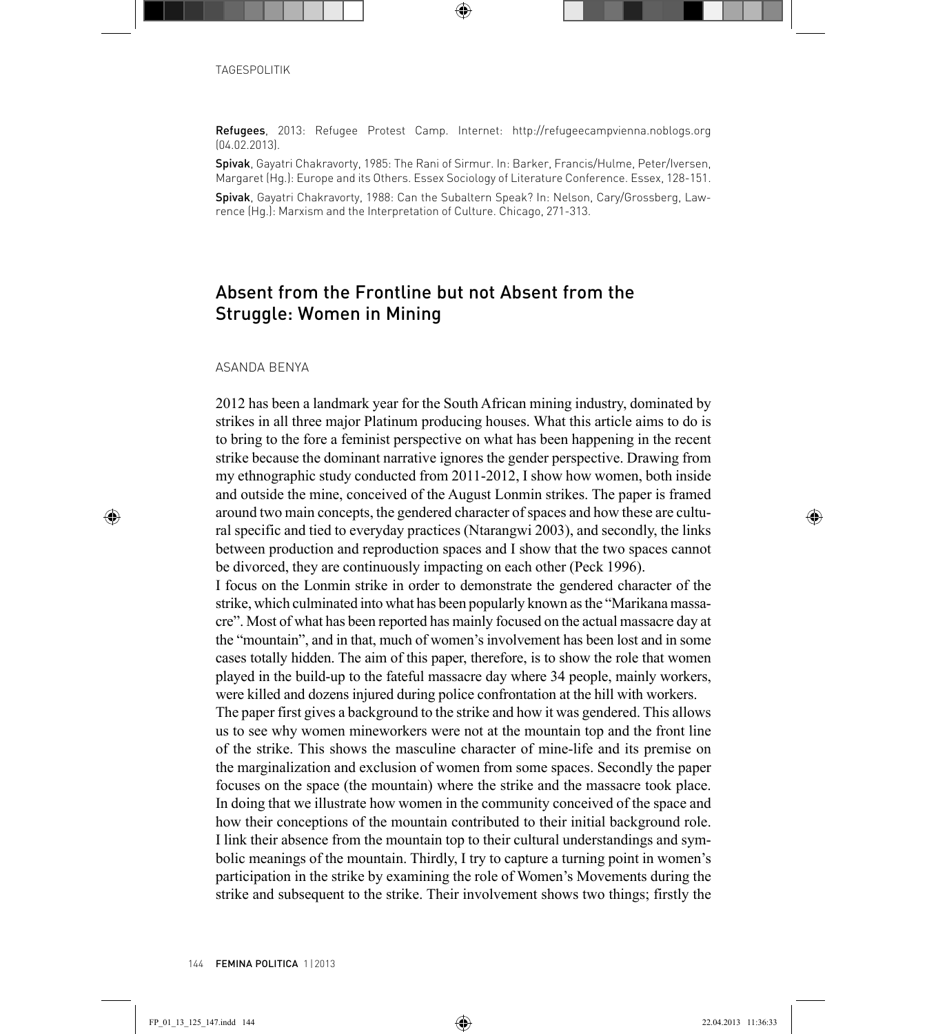Refugees, 2013: Refugee Protest Camp. Internet: <http://refugeecampvienna.noblogs.org> (04.02.2013).

Spivak, Gayatri Chakravorty, 1985: The Rani of Sirmur. In: Barker, Francis/Hulme, Peter/Iversen, Margaret (Hg.): Europe and its Others. Essex Sociology of Literature Conference. Essex, 128-151.

Spivak, Gayatri Chakravorty, 1988: Can the Subaltern Speak? In: Nelson, Cary/Grossberg, Lawrence (Hg.): Marxism and the Interpretation of Culture. Chicago, 271-313.

# Absent from the Frontline but not Absent from the Struggle: Women in Mining

#### ASANDA BENYA

2012 has been a landmark year for the South African mining industry, dominated by strikes in all three major Platinum producing houses. What this article aims to do is to bring to the fore a feminist perspective on what has been happening in the recent strike because the dominant narrative ignores the gender perspective. Drawing from my ethnographic study conducted from 2011-2012, I show how women, both inside and outside the mine, conceived of the August Lonmin strikes. The paper is framed around two main concepts, the gendered character of spaces and how these are cultural specific and tied to everyday practices (Ntarangwi 2003), and secondly, the links between production and reproduction spaces and I show that the two spaces cannot be divorced, they are continuously impacting on each other (Peck 1996).

I focus on the Lonmin strike in order to demonstrate the gendered character of the strike, which culminated into what has been popularly known as the "Marikana massacre". Most of what has been reported has mainly focused on the actual massacre day at the "mountain", and in that, much of women's involvement has been lost and in some cases totally hidden. The aim of this paper, therefore, is to show the role that women played in the build-up to the fateful massacre day where 34 people, mainly workers, were killed and dozens injured during police confrontation at the hill with workers.

The paper first gives a background to the strike and how it was gendered. This allows us to see why women mineworkers were not at the mountain top and the front line of the strike. This shows the masculine character of mine-life and its premise on the marginalization and exclusion of women from some spaces. Secondly the paper focuses on the space (the mountain) where the strike and the massacre took place. In doing that we illustrate how women in the community conceived of the space and how their conceptions of the mountain contributed to their initial background role. I link their absence from the mountain top to their cultural understandings and symbolic meanings of the mountain. Thirdly, I try to capture a turning point in women's participation in the strike by examining the role of Women's Movements during the strike and subsequent to the strike. Their involvement shows two things; firstly the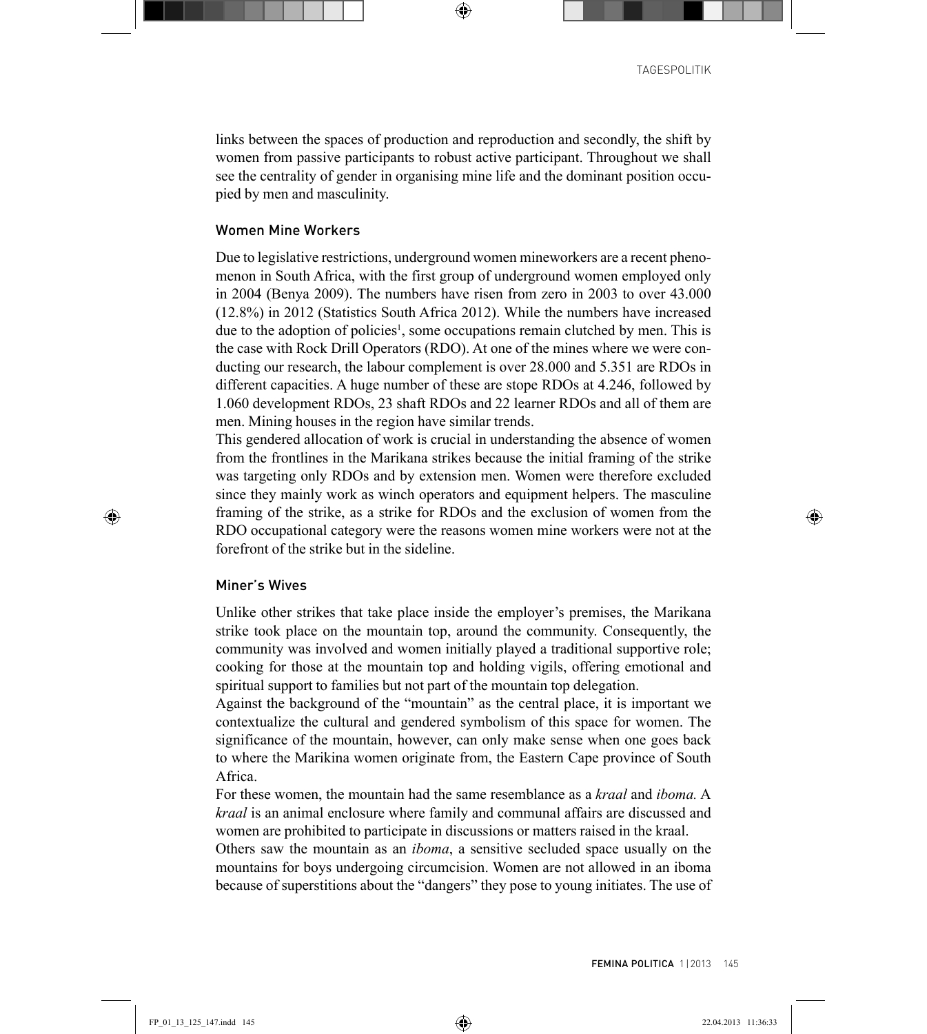links between the spaces of production and reproduction and secondly, the shift by women from passive participants to robust active participant. Throughout we shall see the centrality of gender in organising mine life and the dominant position occupied by men and masculinity.

### Women Mine Workers

Due to legislative restrictions, underground women mineworkers are a recent phenomenon in South Africa, with the first group of underground women employed only in 2004 (Benya 2009). The numbers have risen from zero in 2003 to over 43.000 (12.8%) in 2012 (Statistics South Africa 2012). While the numbers have increased due to the adoption of policies<sup>1</sup>, some occupations remain clutched by men. This is the case with Rock Drill Operators (RDO). At one of the mines where we were conducting our research, the labour complement is over 28.000 and 5.351 are RDOs in different capacities. A huge number of these are stope RDOs at 4.246, followed by 1.060 development RDOs, 23 shaft RDOs and 22 learner RDOs and all of them are men. Mining houses in the region have similar trends.

This gendered allocation of work is crucial in understanding the absence of women from the frontlines in the Marikana strikes because the initial framing of the strike was targeting only RDOs and by extension men. Women were therefore excluded since they mainly work as winch operators and equipment helpers. The masculine framing of the strike, as a strike for RDOs and the exclusion of women from the RDO occupational category were the reasons women mine workers were not at the forefront of the strike but in the sideline.

### Miner's Wives

Unlike other strikes that take place inside the employer's premises, the Marikana strike took place on the mountain top, around the community. Consequently, the community was involved and women initially played a traditional supportive role; cooking for those at the mountain top and holding vigils, offering emotional and spiritual support to families but not part of the mountain top delegation.

Against the background of the "mountain" as the central place, it is important we contextualize the cultural and gendered symbolism of this space for women. The significance of the mountain, however, can only make sense when one goes back to where the Marikina women originate from, the Eastern Cape province of South Africa.

For these women, the mountain had the same resemblance as a *kraal* and *iboma.* A *kraal* is an animal enclosure where family and communal affairs are discussed and women are prohibited to participate in discussions or matters raised in the kraal.

Others saw the mountain as an *iboma*, a sensitive secluded space usually on the mountains for boys undergoing circumcision. Women are not allowed in an iboma because of superstitions about the "dangers" they pose to young initiates. The use of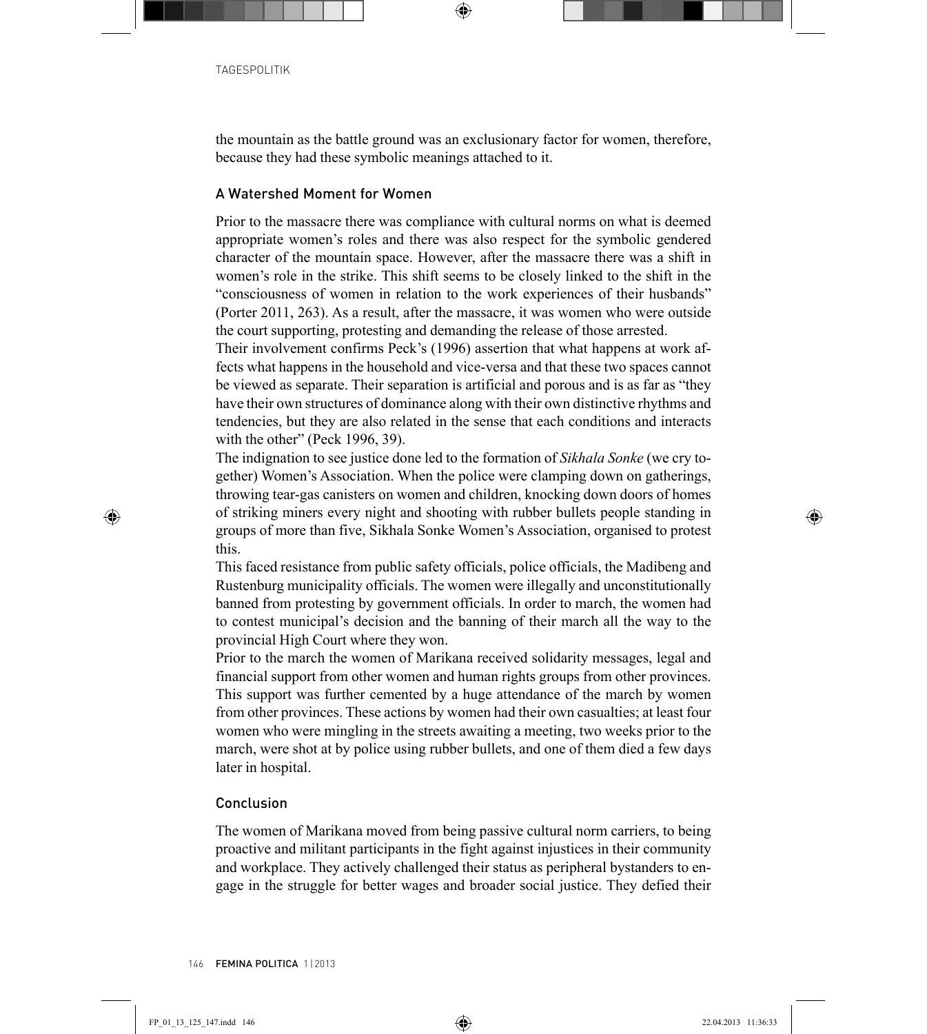the mountain as the battle ground was an exclusionary factor for women, therefore, because they had these symbolic meanings attached to it.

# A Watershed Moment for Women

Prior to the massacre there was compliance with cultural norms on what is deemed appropriate women's roles and there was also respect for the symbolic gendered character of the mountain space. However, after the massacre there was a shift in women's role in the strike. This shift seems to be closely linked to the shift in the "consciousness of women in relation to the work experiences of their husbands" (Porter 2011, 263). As a result, after the massacre, it was women who were outside the court supporting, protesting and demanding the release of those arrested.

Their involvement confirms Peck's (1996) assertion that what happens at work affects what happens in the household and vice-versa and that these two spaces cannot be viewed as separate. Their separation is artificial and porous and is as far as "they have their own structures of dominance along with their own distinctive rhythms and tendencies, but they are also related in the sense that each conditions and interacts with the other" (Peck 1996, 39).

The indignation to see justice done led to the formation of *Sikhala Sonke* (we cry together) Women's Association. When the police were clamping down on gatherings, throwing tear-gas canisters on women and children, knocking down doors of homes of striking miners every night and shooting with rubber bullets people standing in groups of more than five, Sikhala Sonke Women's Association, organised to protest this.

This faced resistance from public safety officials, police officials, the Madibeng and Rustenburg municipality officials. The women were illegally and unconstitutionally banned from protesting by government officials. In order to march, the women had to contest municipal's decision and the banning of their march all the way to the provincial High Court where they won.

Prior to the march the women of Marikana received solidarity messages, legal and financial support from other women and human rights groups from other provinces. This support was further cemented by a huge attendance of the march by women from other provinces. These actions by women had their own casualties; at least four women who were mingling in the streets awaiting a meeting, two weeks prior to the march, were shot at by police using rubber bullets, and one of them died a few days later in hospital.

## Conclusion

The women of Marikana moved from being passive cultural norm carriers, to being proactive and militant participants in the fight against injustices in their community and workplace. They actively challenged their status as peripheral bystanders to engage in the struggle for better wages and broader social justice. They defied their